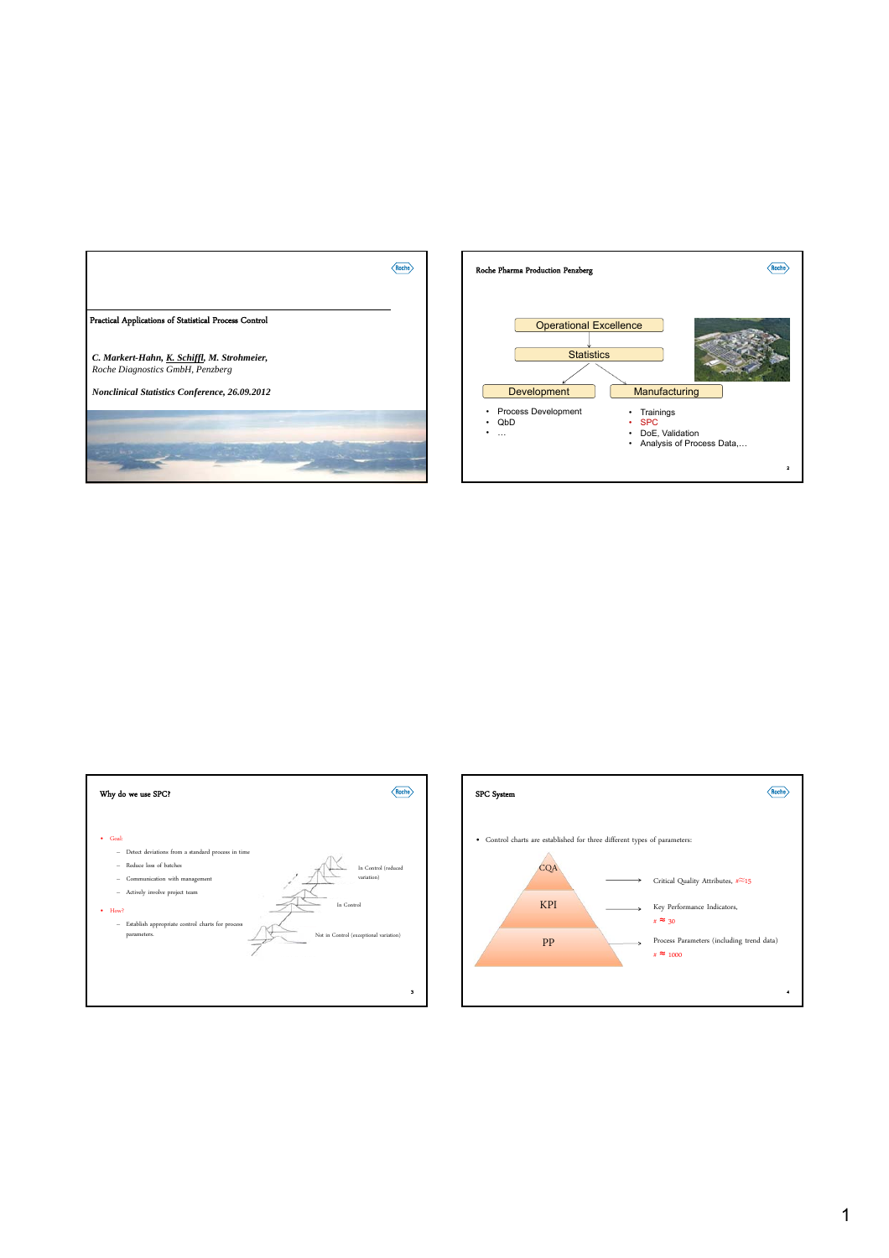





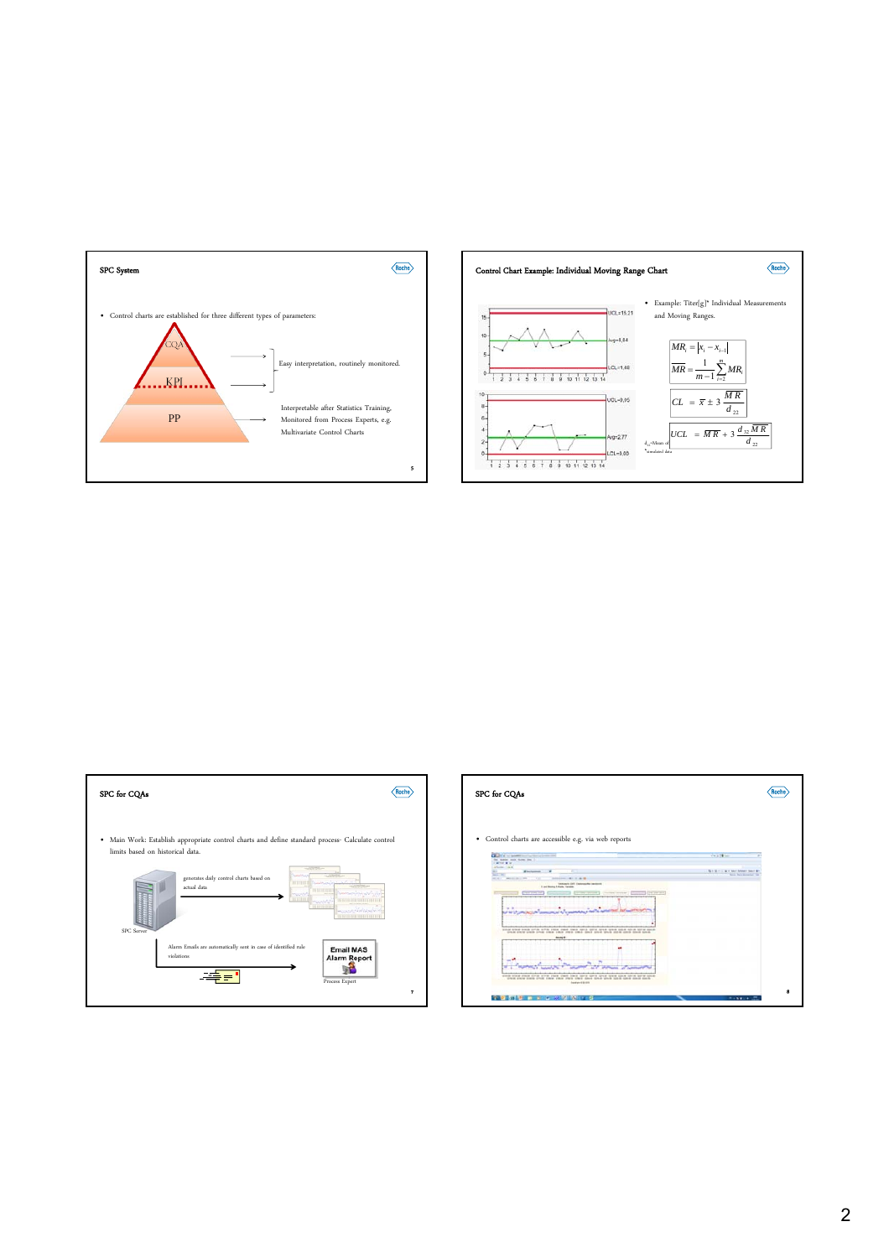







2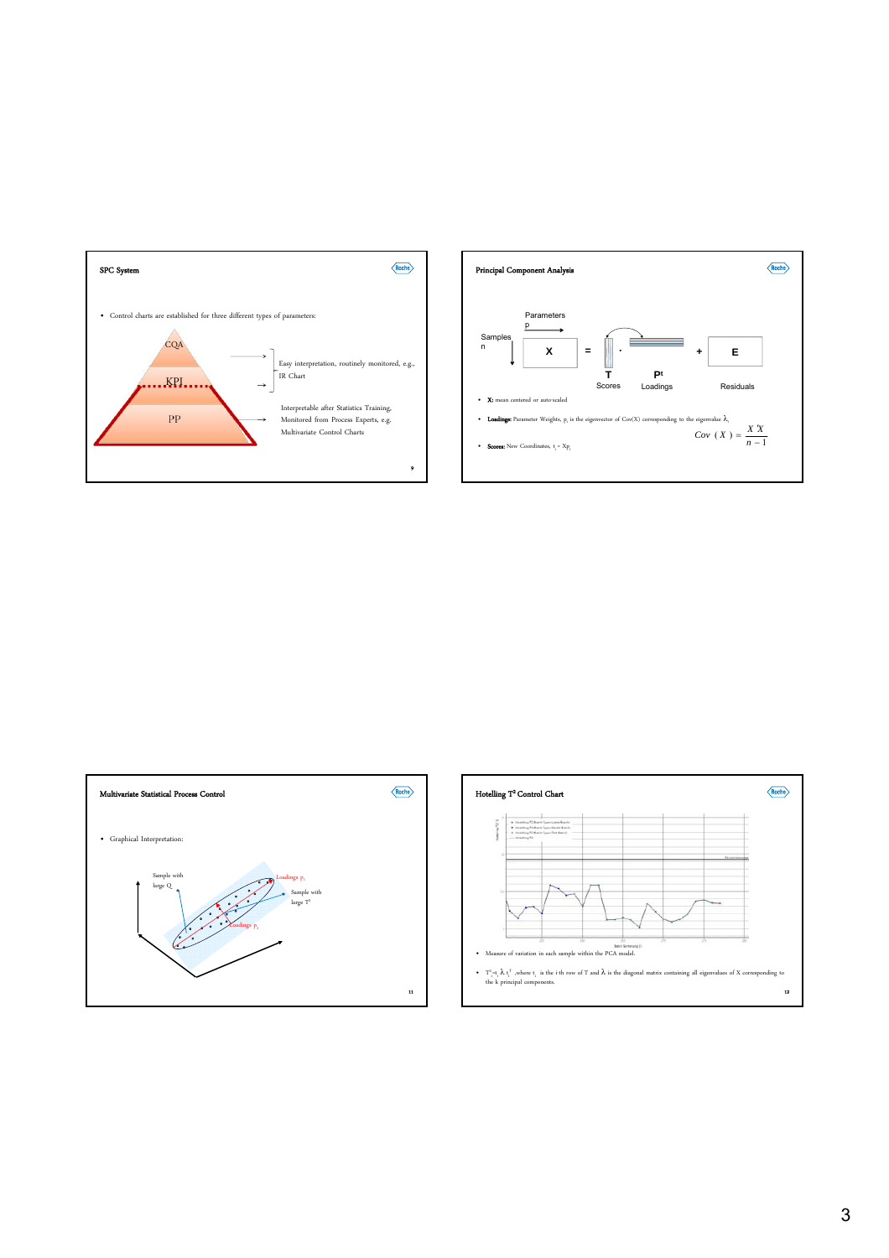





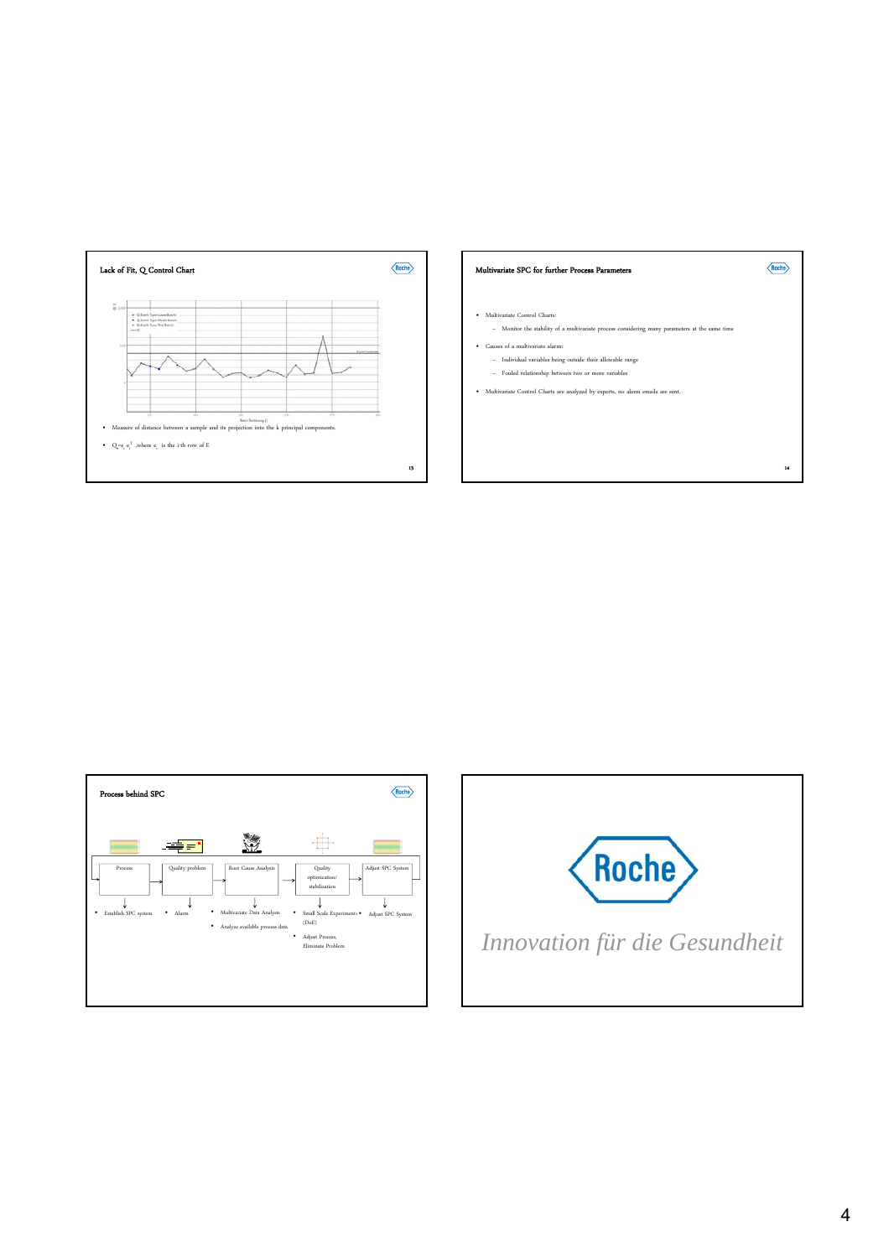

## Multivariate SPC for further Process Parameters

• Multivariate Control Charts: extate process considering many parameters at the same time

14

 $\langle$ Roche $\rangle$ 

- Causes of a multivariate alarm: – Individual variables being outside their allowable range
- Fouled relationship between two or more variables
- Multivariate Control Charts are analyzed by experts, no alarm emails are sent.